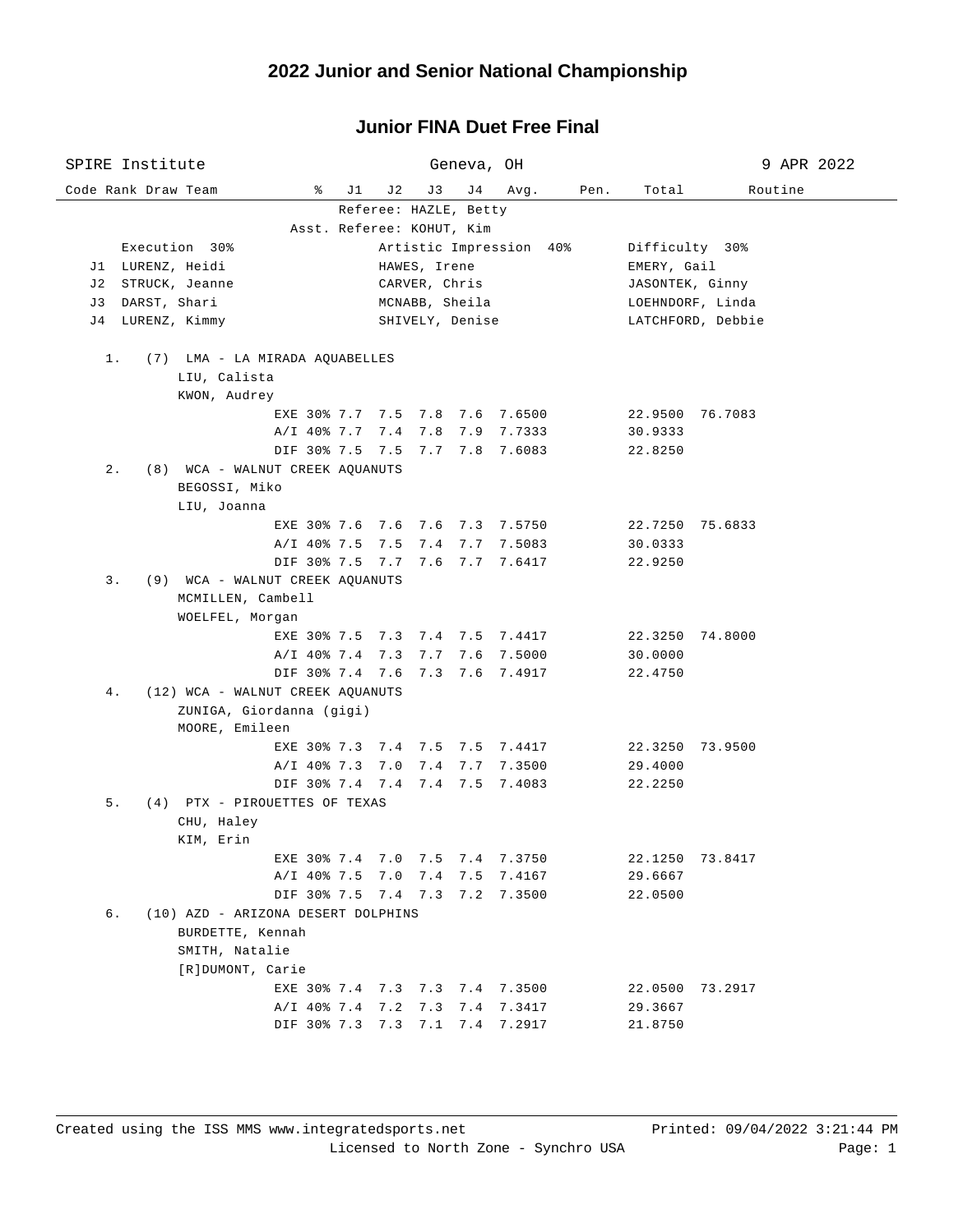## **Junior FINA Duet Free Final**

| SPIRE Institute                          |                           | Geneva, OH                        | 9 APR 2022                            |  |  |
|------------------------------------------|---------------------------|-----------------------------------|---------------------------------------|--|--|
| Code Rank Draw Team                      | ိ<br>J 1<br>J 2           | J3<br>J 4<br>Avg.<br>Pen.         | Routine<br>Total                      |  |  |
|                                          |                           | Referee: HAZLE, Betty             |                                       |  |  |
|                                          | Asst. Referee: KOHUT, Kim |                                   |                                       |  |  |
| Execution 30%                            |                           | Artistic Impression 40%           | Difficulty 30%                        |  |  |
| J1 LURENZ, Heidi                         |                           | HAWES, Irene                      | EMERY, Gail                           |  |  |
| J2 STRUCK, Jeanne                        |                           | CARVER, Chris                     | JASONTEK, Ginny                       |  |  |
| J3 DARST, Shari<br>LURENZ, Kimmy<br>J 4  |                           | MCNABB, Sheila<br>SHIVELY, Denise | LOEHNDORF, Linda<br>LATCHFORD, Debbie |  |  |
|                                          |                           |                                   |                                       |  |  |
| 1.<br>(7) LMA - LA MIRADA AQUABELLES     |                           |                                   |                                       |  |  |
| LIU, Calista                             |                           |                                   |                                       |  |  |
| KWON, Audrey                             |                           |                                   |                                       |  |  |
|                                          |                           | EXE 30% 7.7 7.5 7.8 7.6 7.6500    | 22.9500 76.7083                       |  |  |
|                                          | A/I 40% 7.7 7.4 7.8       | 7.9 7.7333                        | 30.9333                               |  |  |
|                                          |                           | DIF 30% 7.5 7.5 7.7 7.8 7.6083    | 22.8250                               |  |  |
| $2$ .<br>(8) WCA - WALNUT CREEK AQUANUTS |                           |                                   |                                       |  |  |
| BEGOSSI, Miko                            |                           |                                   |                                       |  |  |
| LIU, Joanna                              |                           |                                   |                                       |  |  |
|                                          |                           | EXE 30% 7.6 7.6 7.6 7.3 7.5750    | 22.7250 75.6833                       |  |  |
|                                          |                           | A/I 40% 7.5 7.5 7.4 7.7 7.5083    | 30.0333                               |  |  |
|                                          |                           | DIF 30% 7.5 7.7 7.6 7.7 7.6417    | 22.9250                               |  |  |
| (9) WCA - WALNUT CREEK AQUANUTS<br>3.    |                           |                                   |                                       |  |  |
| MCMILLEN, Cambell<br>WOELFEL, Morgan     |                           |                                   |                                       |  |  |
|                                          |                           | EXE 30% 7.5 7.3 7.4 7.5 7.4417    | 22.3250 74.8000                       |  |  |
|                                          | A/I 40% 7.4 7.3 7.7       | 7.6 7.5000                        | 30.0000                               |  |  |
|                                          |                           | DIF 30% 7.4 7.6 7.3 7.6 7.4917    | 22.4750                               |  |  |
| (12) WCA - WALNUT CREEK AQUANUTS<br>4.   |                           |                                   |                                       |  |  |
| ZUNIGA, Giordanna (gigi)                 |                           |                                   |                                       |  |  |
| MOORE, Emileen                           |                           |                                   |                                       |  |  |
|                                          |                           | EXE 30% 7.3 7.4 7.5 7.5 7.4417    | 22.3250 73.9500                       |  |  |
|                                          | A/I 40% 7.3 7.0           | 7.4<br>7.7 7.3500                 | 29.4000                               |  |  |
|                                          |                           | DIF 30% 7.4 7.4 7.4 7.5 7.4083    | 22.2250                               |  |  |
| 5.<br>(4) PTX - PIROUETTES OF TEXAS      |                           |                                   |                                       |  |  |
| CHU, Haley                               |                           |                                   |                                       |  |  |
| KIM, Erin                                |                           |                                   |                                       |  |  |
| EXE 30% 7.4                              | 7.0                       | 7.5<br>7.4<br>7.3750              | 22.1250<br>73.8417                    |  |  |
|                                          | A/I 40% 7.5 7.0           | 7.4<br>7.5<br>7.4167              | 29.6667                               |  |  |
|                                          | DIF 30% 7.5 7.4 7.3       | 7.2 7.3500                        | 22.0500                               |  |  |
| б.<br>(10) AZD - ARIZONA DESERT DOLPHINS |                           |                                   |                                       |  |  |
| BURDETTE, Kennah                         |                           |                                   |                                       |  |  |
| SMITH, Natalie<br>[R]DUMONT, Carie       |                           |                                   |                                       |  |  |
|                                          |                           | EXE 30% 7.4 7.3 7.3 7.4 7.3500    | 22.0500 73.2917                       |  |  |
|                                          | A/I 40% 7.4 7.2           | 7.3417<br>7.3<br>7.4              | 29.3667                               |  |  |
|                                          | DIF 30% 7.3 7.3 7.1       | 7.4 7.2917                        | 21.8750                               |  |  |
|                                          |                           |                                   |                                       |  |  |